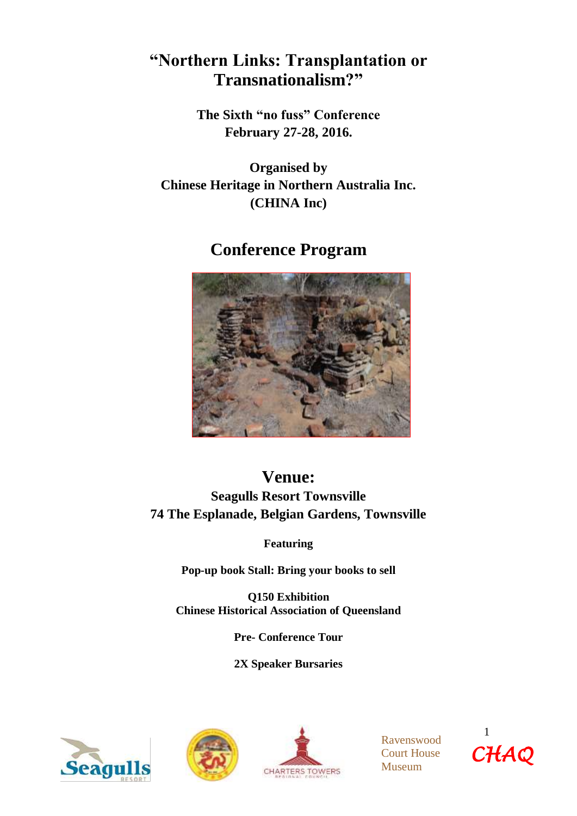# **"Northern Links: Transplantation or Transnationalism?"**

**The Sixth "no fuss" Conference February 27-28, 2016.**

**Organised by Chinese Heritage in Northern Australia Inc. (CHINA Inc)**

# **Conference Program**



# **Venue:**

**Seagulls Resort Townsville 74 The Esplanade, Belgian Gardens, Townsville**

**Featuring** 

**Pop-up book Stall: Bring your books to sell**

**Q150 Exhibition Chinese Historical Association of Queensland** 

**Pre- Conference Tour**

**2X Speaker Bursaries**







Ravenswood Court House Museum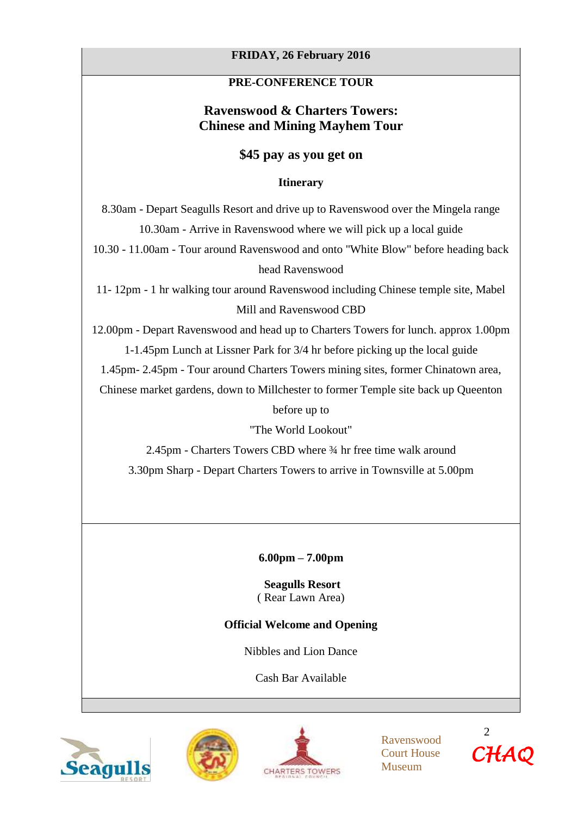# **FRIDAY, 26 February 2016**

# **PRE-CONFERENCE TOUR**

# **Ravenswood & Charters Towers: Chinese and Mining Mayhem Tour**

# **\$45 pay as you get on**

## **Itinerary**

8.30am - Depart Seagulls Resort and drive up to Ravenswood over the Mingela range 10.30am - Arrive in Ravenswood where we will pick up a local guide

10.30 - 11.00am - Tour around Ravenswood and onto "White Blow" before heading back head Ravenswood

11- 12pm - 1 hr walking tour around Ravenswood including Chinese temple site, Mabel Mill and Ravenswood CBD

12.00pm - Depart Ravenswood and head up to Charters Towers for lunch. approx 1.00pm 1-1.45pm Lunch at Lissner Park for 3/4 hr before picking up the local guide

1.45pm- 2.45pm - Tour around Charters Towers mining sites, former Chinatown area,

Chinese market gardens, down to Millchester to former Temple site back up Queenton

before up to

"The World Lookout"

2.45pm - Charters Towers CBD where ¾ hr free time walk around 3.30pm Sharp - Depart Charters Towers to arrive in Townsville at 5.00pm

**6.00pm – 7.00pm** 

**Seagulls Resort**  ( Rear Lawn Area)

# **Official Welcome and Opening**

Nibbles and Lion Dance

Cash Bar Available







Ravenswood Court House Museum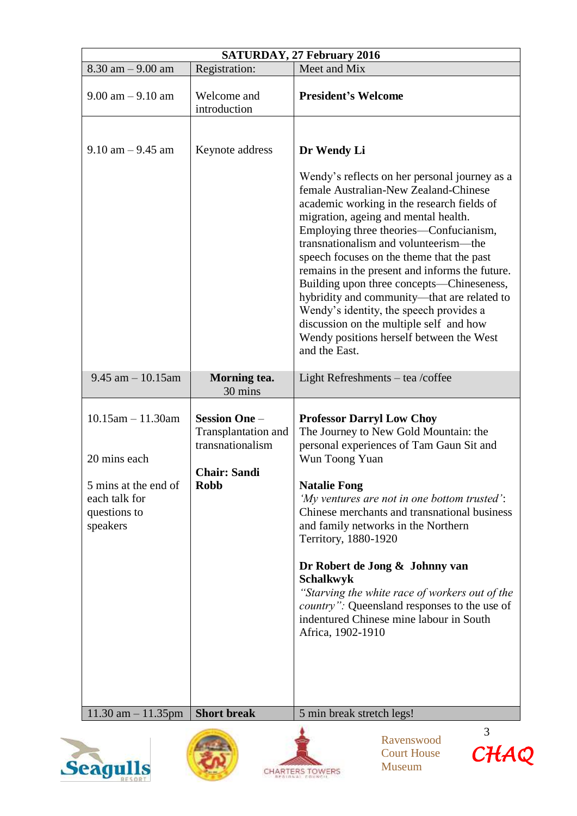| <b>SATURDAY, 27 February 2016</b>                                                                            |                                                                                                       |                                                                                                                                                                                                                                                                                                                                                                                                                                                                                                                                                                                                                              |  |  |
|--------------------------------------------------------------------------------------------------------------|-------------------------------------------------------------------------------------------------------|------------------------------------------------------------------------------------------------------------------------------------------------------------------------------------------------------------------------------------------------------------------------------------------------------------------------------------------------------------------------------------------------------------------------------------------------------------------------------------------------------------------------------------------------------------------------------------------------------------------------------|--|--|
| $8.30$ am $-9.00$ am                                                                                         | Registration:                                                                                         | Meet and Mix                                                                                                                                                                                                                                                                                                                                                                                                                                                                                                                                                                                                                 |  |  |
| $9.00$ am $-9.10$ am                                                                                         | Welcome and<br>introduction                                                                           | <b>President's Welcome</b>                                                                                                                                                                                                                                                                                                                                                                                                                                                                                                                                                                                                   |  |  |
| $9.10$ am $-9.45$ am                                                                                         | Keynote address                                                                                       | Dr Wendy Li<br>Wendy's reflects on her personal journey as a<br>female Australian-New Zealand-Chinese<br>academic working in the research fields of<br>migration, ageing and mental health.<br>Employing three theories—Confucianism,<br>transnationalism and volunteerism—the<br>speech focuses on the theme that the past<br>remains in the present and informs the future.<br>Building upon three concepts—Chineseness,<br>hybridity and community—that are related to<br>Wendy's identity, the speech provides a<br>discussion on the multiple self and how<br>Wendy positions herself between the West<br>and the East. |  |  |
| $9.45$ am $-10.15$ am                                                                                        | Morning tea.<br>30 mins                                                                               | Light Refreshments – tea /coffee                                                                                                                                                                                                                                                                                                                                                                                                                                                                                                                                                                                             |  |  |
| $10.15$ am $- 11.30$ am<br>20 mins each<br>5 mins at the end of<br>each talk for<br>questions to<br>speakers | <b>Session One -</b><br>Transplantation and<br>transnationalism<br><b>Chair: Sandi</b><br><b>Robb</b> | <b>Professor Darryl Low Choy</b><br>The Journey to New Gold Mountain: the<br>personal experiences of Tam Gaun Sit and<br>Wun Toong Yuan<br><b>Natalie Fong</b><br>'My ventures are not in one bottom trusted':<br>Chinese merchants and transnational business<br>and family networks in the Northern<br>Territory, 1880-1920<br>Dr Robert de Jong & Johnny van<br><b>Schalkwyk</b><br>"Starving the white race of workers out of the<br><i>country</i> ": Queensland responses to the use of<br>indentured Chinese mine labour in South<br>Africa, 1902-1910                                                                |  |  |
| $11.30$ am $- 11.35$ pm                                                                                      | <b>Short break</b>                                                                                    | 5 min break stretch legs!                                                                                                                                                                                                                                                                                                                                                                                                                                                                                                                                                                                                    |  |  |
|                                                                                                              |                                                                                                       | 3<br>Ravenswood<br>CHAQ<br><b>Court House</b>                                                                                                                                                                                                                                                                                                                                                                                                                                                                                                                                                                                |  |  |

CHARTERS TOWERS

Museum



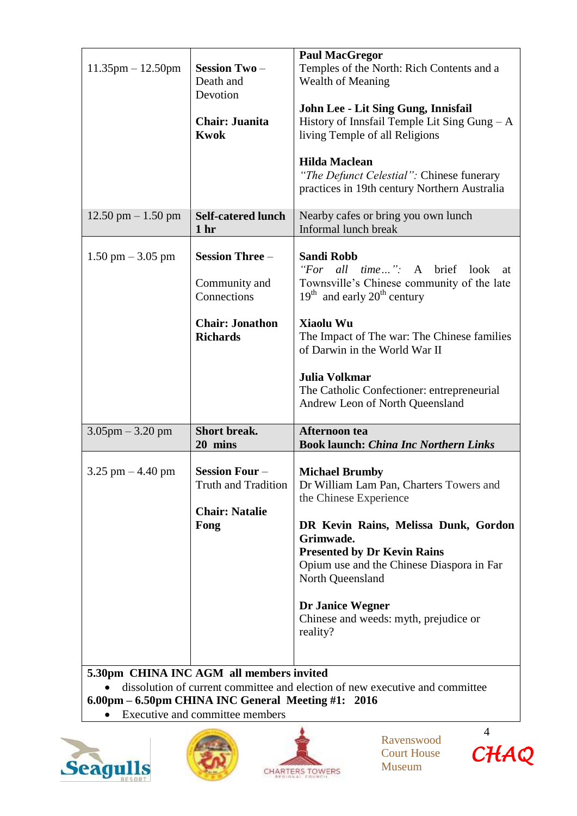| $11.35$ pm $- 12.50$ pm                                                   | <b>Session Two-</b><br>Death and                                                                    | <b>Paul MacGregor</b><br>Temples of the North: Rich Contents and a<br>Wealth of Meaning                                                                                                                                                                                                                                                |
|---------------------------------------------------------------------------|-----------------------------------------------------------------------------------------------------|----------------------------------------------------------------------------------------------------------------------------------------------------------------------------------------------------------------------------------------------------------------------------------------------------------------------------------------|
|                                                                           | Devotion<br><b>Chair: Juanita</b><br><b>Kwok</b>                                                    | John Lee - Lit Sing Gung, Innisfail<br>History of Innsfail Temple Lit Sing Gung $-A$<br>living Temple of all Religions                                                                                                                                                                                                                 |
|                                                                           |                                                                                                     | <b>Hilda Maclean</b><br>"The Defunct Celestial": Chinese funerary<br>practices in 19th century Northern Australia                                                                                                                                                                                                                      |
| $12.50 \text{ pm} - 1.50 \text{ pm}$                                      | <b>Self-catered lunch</b><br>1 <sub>hr</sub>                                                        | Nearby cafes or bring you own lunch<br>Informal lunch break                                                                                                                                                                                                                                                                            |
| $1.50 \text{ pm} - 3.05 \text{ pm}$                                       | <b>Session Three -</b><br>Community and<br>Connections<br><b>Chair: Jonathon</b><br><b>Richards</b> | <b>Sandi Robb</b><br>"For all time": A brief look<br>at<br>Townsville's Chinese community of the late<br>$19th$ and early $20th$ century<br>Xiaolu Wu<br>The Impact of The war: The Chinese families<br>of Darwin in the World War II<br><b>Julia Volkmar</b><br>The Catholic Confectioner: entrepreneurial                            |
| $3.05$ pm $-3.20$ pm                                                      | <b>Short break.</b>                                                                                 | Andrew Leon of North Queensland<br>Afternoon tea                                                                                                                                                                                                                                                                                       |
|                                                                           | 20 mins                                                                                             | <b>Book launch: China Inc Northern Links</b>                                                                                                                                                                                                                                                                                           |
| $3.25$ pm $-4.40$ pm<br>$\epsilon$ 20pm CHINA INC ACM all mombors invited | <b>Session Four-</b><br><b>Truth and Tradition</b><br><b>Chair: Natalie</b><br>Fong                 | <b>Michael Brumby</b><br>Dr William Lam Pan, Charters Towers and<br>the Chinese Experience<br>DR Kevin Rains, Melissa Dunk, Gordon<br>Grimwade.<br><b>Presented by Dr Kevin Rains</b><br>Opium use and the Chinese Diaspora in Far<br>North Queensland<br><b>Dr Janice Wegner</b><br>Chinese and weeds: myth, prejudice or<br>reality? |

# **5.30pm CHINA INC AGM all members invited**

 dissolution of current committee and election of new executive and committee **6.00pm – 6.50pm CHINA INC General Meeting #1: 2016**

Executive and committee members







Ravenswood Court House Museum

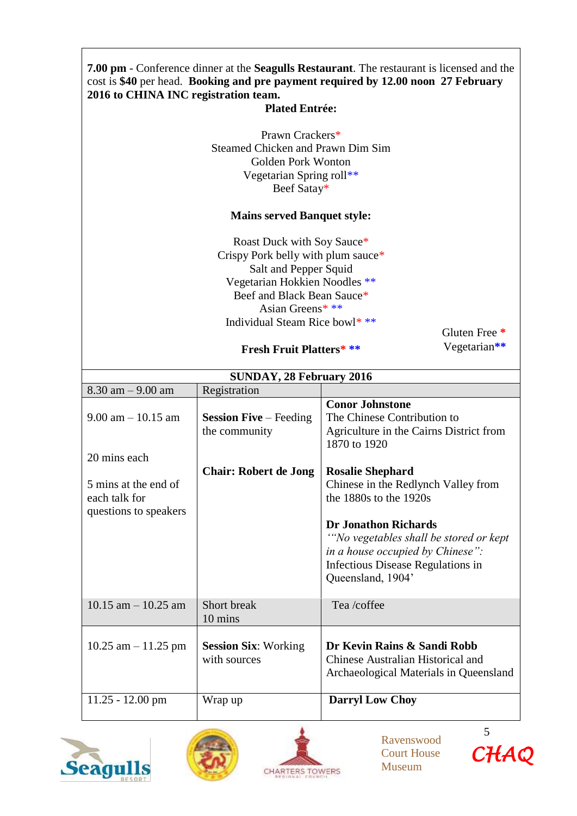# **7.00 pm** - Conference dinner at the **Seagulls Restaurant**. The restaurant is licensed and the cost is **\$40** per head. **Booking and pre payment required by 12.00 noon 27 February 2016 to CHINA INC registration team.**

## **Plated Entrée:**

Prawn Crackers\* Steamed Chicken and Prawn Dim Sim Golden Pork Wonton Vegetarian Spring roll\*\* Beef Satay\*

## **Mains served Banquet style:**

Roast Duck with Soy Sauce\* Crispy Pork belly with plum sauce\* Salt and Pepper Squid Vegetarian Hokkien Noodles \*\* Beef and Black Bean Sauce\* Asian Greens\* \*\* Individual Steam Rice bowl\* \*\*

Gluten Free **\*** Vegetarian**\*\***

## **Fresh Fruit Platters\* \*\***

| <b>SUNDAY, 28 February 2016</b>                                |                                                |                                                                                                                                                                                                                                                                          |  |  |
|----------------------------------------------------------------|------------------------------------------------|--------------------------------------------------------------------------------------------------------------------------------------------------------------------------------------------------------------------------------------------------------------------------|--|--|
| $8.30$ am $-9.00$ am                                           | Registration                                   |                                                                                                                                                                                                                                                                          |  |  |
| $9.00$ am $-10.15$ am<br>20 mins each                          | <b>Session Five</b> – Feeding<br>the community | <b>Conor Johnstone</b><br>The Chinese Contribution to<br>Agriculture in the Cairns District from<br>1870 to 1920                                                                                                                                                         |  |  |
| 5 mins at the end of<br>each talk for<br>questions to speakers | <b>Chair: Robert de Jong</b>                   | <b>Rosalie Shephard</b><br>Chinese in the Redlynch Valley from<br>the 1880s to the 1920s<br><b>Dr Jonathon Richards</b><br>"No vegetables shall be stored or kept"<br><i>in a house occupied by Chinese"</i> :<br>Infectious Disease Regulations in<br>Queensland, 1904' |  |  |
| $10.15$ am $- 10.25$ am                                        | Short break<br>10 mins                         | Tea/coffee                                                                                                                                                                                                                                                               |  |  |
| $10.25$ am $-11.25$ pm                                         | <b>Session Six: Working</b><br>with sources    | Dr Kevin Rains & Sandi Robb<br>Chinese Australian Historical and<br>Archaeological Materials in Queensland                                                                                                                                                               |  |  |
| $11.25 - 12.00$ pm                                             | Wrap up                                        | <b>Darryl Low Choy</b>                                                                                                                                                                                                                                                   |  |  |







Ravenswood Court House Museum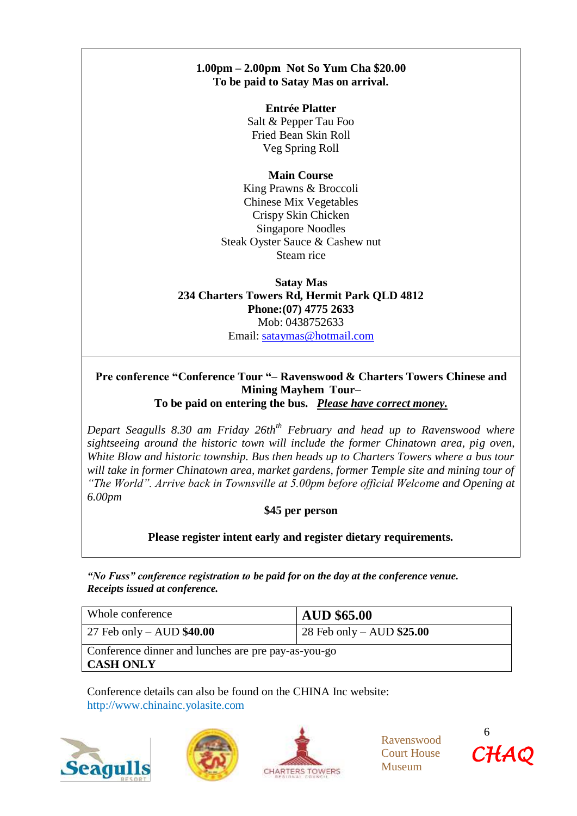# **1.00pm – 2.00pm Not So Yum Cha \$20.00 To be paid to Satay Mas on arrival.**

**Entrée Platter** Salt & Pepper Tau Foo Fried Bean Skin Roll Veg Spring Roll

## **Main Course**

King Prawns & Broccoli Chinese Mix Vegetables Crispy Skin Chicken Singapore Noodles Steak Oyster Sauce & Cashew nut Steam rice

## **Satay Mas 234 Charters Towers Rd, Hermit Park QLD 4812 Phone:(07) 4775 2633** Mob: 0438752633 Email: [sataymas@hotmail.com](mailto:sataymas@hotmail.com)

## **Pre conference "Conference Tour "– Ravenswood & Charters Towers Chinese and Mining Mayhem Tour– To be paid on entering the bus.** *Please have correct money.*

*Depart Seagulls 8.30 am Friday 26thth February and head up to Ravenswood where sightseeing around the historic town will include the former Chinatown area, pig oven, White Blow and historic township. Bus then heads up to Charters Towers where a bus tour will take in former Chinatown area, market gardens, former Temple site and mining tour of "The World". Arrive back in Townsville at 5.00pm before official Welcome and Opening at 6.00pm*

## **\$45 per person**

**Please register intent early and register dietary requirements.**

*"No Fuss" conference registration to be paid for on the day at the conference venue. Receipts issued at conference.*

| Whole conference                                                        | AUD \$65.00                 |  |
|-------------------------------------------------------------------------|-----------------------------|--|
| $27$ Feb only – AUD $$40.00$                                            | $28$ Feb only – AUD \$25.00 |  |
| Conference dinner and lunches are pre pay-as-you-go<br><b>CASH ONLY</b> |                             |  |

Conference details can also be found on the CHINA Inc website: http://www.chinainc.yolasite.com







Ravenswood Court House Museum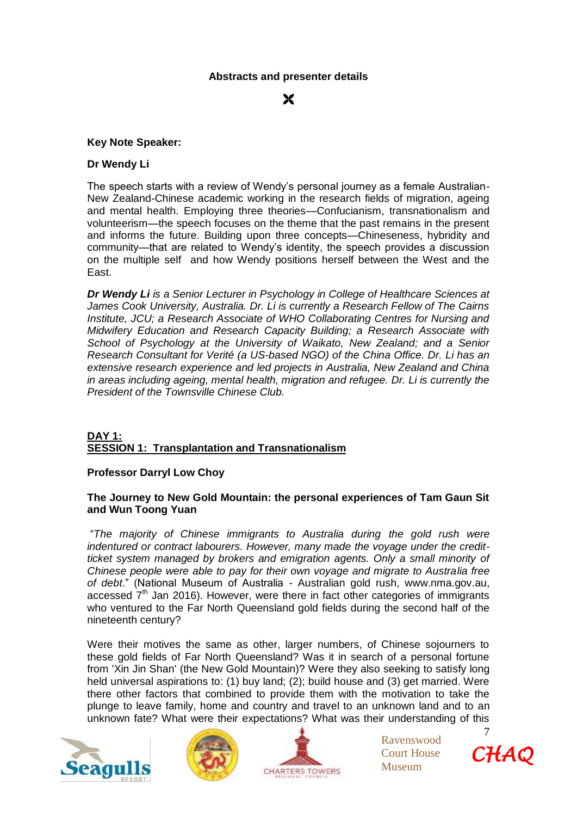## **Abstracts and presenter details**

Ж

#### **Key Note Speaker:**

#### **Dr Wendy Li**

The speech starts with a review of Wendy's personal journey as a female Australian-New Zealand-Chinese academic working in the research fields of migration, ageing and mental health. Employing three theories—Confucianism, transnationalism and volunteerism—the speech focuses on the theme that the past remains in the present and informs the future. Building upon three concepts—Chineseness, hybridity and community—that are related to Wendy's identity, the speech provides a discussion on the multiple self and how Wendy positions herself between the West and the East.

*Dr Wendy Li is a Senior Lecturer in Psychology in College of Healthcare Sciences at James Cook University, Australia. Dr. Li is currently a Research Fellow of The Cairns Institute, JCU; a Research Associate of WHO Collaborating Centres for Nursing and Midwifery Education and Research Capacity Building; a Research Associate with School of Psychology at the University of Waikato, New Zealand; and a Senior Research Consultant for Verité (a US-based NGO) of the China Office. Dr. Li has an extensive research experience and led projects in Australia, New Zealand and China in areas including ageing, mental health, migration and refugee. Dr. Li is currently the President of the Townsville Chinese Club.*

#### **DAY 1: SESSION 1: Transplantation and Transnationalism**

#### **Professor Darryl Low Choy**

#### **The Journey to New Gold Mountain: the personal experiences of Tam Gaun Sit and Wun Toong Yuan**

"*The majority of Chinese immigrants to Australia during the gold rush were indentured or contract labourers. However, many made the voyage under the creditticket system managed by brokers and emigration agents. Only a small minority of Chinese people were able to pay for their own voyage and migrate to Australia free of debt*." (National Museum of Australia - Australian gold rush, www.nma.gov.au, accessed  $7<sup>th</sup>$  Jan 2016). However, were there in fact other categories of immigrants who ventured to the Far North Queensland gold fields during the second half of the nineteenth century?

Were their motives the same as other, larger numbers, of Chinese sojourners to these gold fields of Far North Queensland? Was it in search of a personal fortune from 'Xin Jin Shan' (the New Gold Mountain)? Were they also seeking to satisfy long held universal aspirations to: (1) buy land; (2); build house and (3) get married. Were there other factors that combined to provide them with the motivation to take the plunge to leave family, home and country and travel to an unknown land and to an unknown fate? What were their expectations? What was their understanding of this







Ravenswood Court House Museum

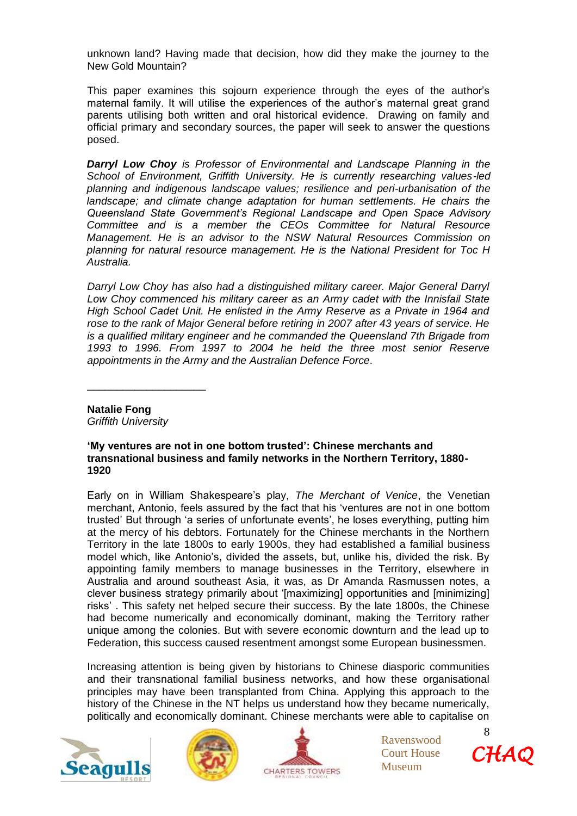unknown land? Having made that decision, how did they make the journey to the New Gold Mountain?

This paper examines this sojourn experience through the eyes of the author's maternal family. It will utilise the experiences of the author's maternal great grand parents utilising both written and oral historical evidence. Drawing on family and official primary and secondary sources, the paper will seek to answer the questions posed.

*Darryl Low Choy is Professor of Environmental and Landscape Planning in the School of Environment, Griffith University. He is currently researching values-led planning and indigenous landscape values; resilience and peri-urbanisation of the landscape; and climate change adaptation for human settlements. He chairs the Queensland State Government's Regional Landscape and Open Space Advisory Committee and is a member the CEOs Committee for Natural Resource Management. He is an advisor to the NSW Natural Resources Commission on planning for natural resource management. He is the National President for Toc H Australia.*

*Darryl Low Choy has also had a distinguished military career. Major General Darryl Low Choy commenced his military career as an Army cadet with the Innisfail State High School Cadet Unit. He enlisted in the Army Reserve as a Private in 1964 and rose to the rank of Major General before retiring in 2007 after 43 years of service. He is a qualified military engineer and he commanded the Queensland 7th Brigade from 1993 to 1996. From 1997 to 2004 he held the three most senior Reserve appointments in the Army and the Australian Defence Force.*

**Natalie Fong** *Griffith University*

\_\_\_\_\_\_\_\_\_\_\_\_\_\_\_\_\_\_\_\_

#### **'My ventures are not in one bottom trusted': Chinese merchants and transnational business and family networks in the Northern Territory, 1880- 1920**

Early on in William Shakespeare's play, *The Merchant of Venice*, the Venetian merchant, Antonio, feels assured by the fact that his 'ventures are not in one bottom trusted' But through 'a series of unfortunate events', he loses everything, putting him at the mercy of his debtors. Fortunately for the Chinese merchants in the Northern Territory in the late 1800s to early 1900s, they had established a familial business model which, like Antonio's, divided the assets, but, unlike his, divided the risk. By appointing family members to manage businesses in the Territory, elsewhere in Australia and around southeast Asia, it was, as Dr Amanda Rasmussen notes, a clever business strategy primarily about '[maximizing] opportunities and [minimizing] risks' . This safety net helped secure their success. By the late 1800s, the Chinese had become numerically and economically dominant, making the Territory rather unique among the colonies. But with severe economic downturn and the lead up to Federation, this success caused resentment amongst some European businessmen.

Increasing attention is being given by historians to Chinese diasporic communities and their transnational familial business networks, and how these organisational principles may have been transplanted from China. Applying this approach to the history of the Chinese in the NT helps us understand how they became numerically, politically and economically dominant. Chinese merchants were able to capitalise on







Ravenswood Court House Museum

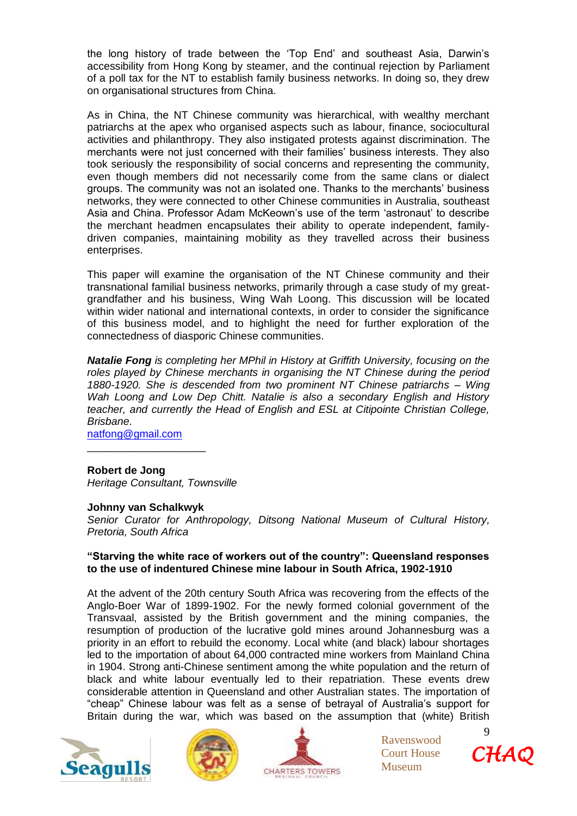the long history of trade between the 'Top End' and southeast Asia, Darwin's accessibility from Hong Kong by steamer, and the continual rejection by Parliament of a poll tax for the NT to establish family business networks. In doing so, they drew on organisational structures from China.

As in China, the NT Chinese community was hierarchical, with wealthy merchant patriarchs at the apex who organised aspects such as labour, finance, sociocultural activities and philanthropy. They also instigated protests against discrimination. The merchants were not just concerned with their families' business interests. They also took seriously the responsibility of social concerns and representing the community, even though members did not necessarily come from the same clans or dialect groups. The community was not an isolated one. Thanks to the merchants' business networks, they were connected to other Chinese communities in Australia, southeast Asia and China. Professor Adam McKeown's use of the term 'astronaut' to describe the merchant headmen encapsulates their ability to operate independent, familydriven companies, maintaining mobility as they travelled across their business enterprises.

This paper will examine the organisation of the NT Chinese community and their transnational familial business networks, primarily through a case study of my greatgrandfather and his business, Wing Wah Loong. This discussion will be located within wider national and international contexts, in order to consider the significance of this business model, and to highlight the need for further exploration of the connectedness of diasporic Chinese communities.

*Natalie Fong is completing her MPhil in History at Griffith University, focusing on the roles played by Chinese merchants in organising the NT Chinese during the period 1880-1920. She is descended from two prominent NT Chinese patriarchs – Wing*  Wah Loong and Low Dep Chitt. Natalie is also a secondary English and History *teacher, and currently the Head of English and ESL at Citipointe Christian College, Brisbane.*

[natfong@gmail.com](mailto:natfong@gmail.com)

#### **Robert de Jong**

*Heritage Consultant, Townsville*

#### **Johnny van Schalkwyk**

\_\_\_\_\_\_\_\_\_\_\_\_\_\_\_\_\_\_\_\_

*Senior Curator for Anthropology, Ditsong National Museum of Cultural History, Pretoria, South Africa*

#### **"Starving the white race of workers out of the country": Queensland responses to the use of indentured Chinese mine labour in South Africa, 1902-1910**

At the advent of the 20th century South Africa was recovering from the effects of the Anglo-Boer War of 1899-1902. For the newly formed colonial government of the Transvaal, assisted by the British government and the mining companies, the resumption of production of the lucrative gold mines around Johannesburg was a priority in an effort to rebuild the economy. Local white (and black) labour shortages led to the importation of about 64,000 contracted mine workers from Mainland China in 1904. Strong anti-Chinese sentiment among the white population and the return of black and white labour eventually led to their repatriation. These events drew considerable attention in Queensland and other Australian states. The importation of "cheap" Chinese labour was felt as a sense of betrayal of Australia's support for Britain during the war, which was based on the assumption that (white) British







Ravenswood Court House Museum

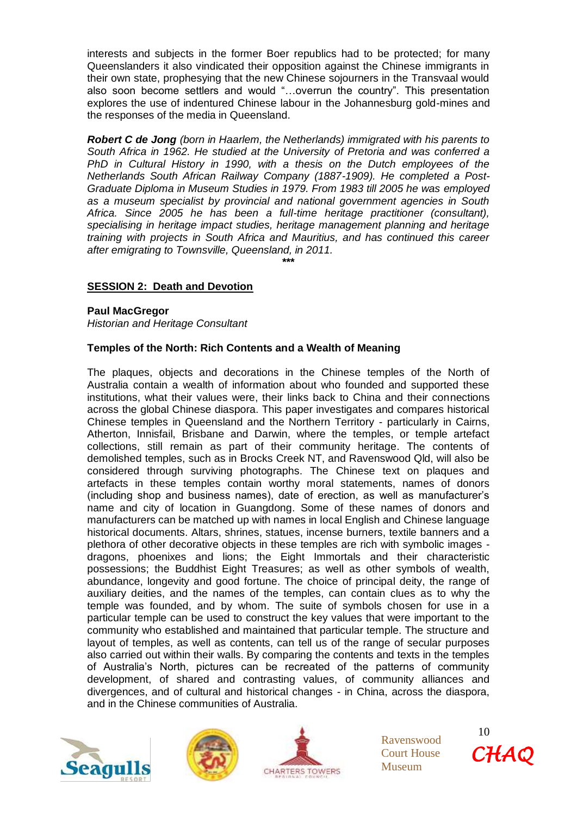interests and subjects in the former Boer republics had to be protected; for many Queenslanders it also vindicated their opposition against the Chinese immigrants in their own state, prophesying that the new Chinese sojourners in the Transvaal would also soon become settlers and would "…overrun the country". This presentation explores the use of indentured Chinese labour in the Johannesburg gold-mines and the responses of the media in Queensland.

*Robert C de Jong (born in Haarlem, the Netherlands) immigrated with his parents to South Africa in 1962. He studied at the University of Pretoria and was conferred a PhD in Cultural History in 1990, with a thesis on the Dutch employees of the Netherlands South African Railway Company (1887-1909). He completed a Post-Graduate Diploma in Museum Studies in 1979. From 1983 till 2005 he was employed as a museum specialist by provincial and national government agencies in South Africa. Since 2005 he has been a full-time heritage practitioner (consultant), specialising in heritage impact studies, heritage management planning and heritage training with projects in South Africa and Mauritius, and has continued this career after emigrating to Townsville, Queensland, in 2011.*

#### **\*\*\***

## **SESSION 2: Death and Devotion**

#### **Paul MacGregor**

*Historian and Heritage Consultant*

#### **Temples of the North: Rich Contents and a Wealth of Meaning**

The plaques, objects and decorations in the Chinese temples of the North of Australia contain a wealth of information about who founded and supported these institutions, what their values were, their links back to China and their connections across the global Chinese diaspora. This paper investigates and compares historical Chinese temples in Queensland and the Northern Territory - particularly in Cairns, Atherton, Innisfail, Brisbane and Darwin, where the temples, or temple artefact collections, still remain as part of their community heritage. The contents of demolished temples, such as in Brocks Creek NT, and Ravenswood Qld, will also be considered through surviving photographs. The Chinese text on plaques and artefacts in these temples contain worthy moral statements, names of donors (including shop and business names), date of erection, as well as manufacturer's name and city of location in Guangdong. Some of these names of donors and manufacturers can be matched up with names in local English and Chinese language historical documents. Altars, shrines, statues, incense burners, textile banners and a plethora of other decorative objects in these temples are rich with symbolic images dragons, phoenixes and lions; the Eight Immortals and their characteristic possessions; the Buddhist Eight Treasures; as well as other symbols of wealth, abundance, longevity and good fortune. The choice of principal deity, the range of auxiliary deities, and the names of the temples, can contain clues as to why the temple was founded, and by whom. The suite of symbols chosen for use in a particular temple can be used to construct the key values that were important to the community who established and maintained that particular temple. The structure and layout of temples, as well as contents, can tell us of the range of secular purposes also carried out within their walls. By comparing the contents and texts in the temples of Australia's North, pictures can be recreated of the patterns of community development, of shared and contrasting values, of community alliances and divergences, and of cultural and historical changes - in China, across the diaspora, and in the Chinese communities of Australia.







Ravenswood Court House Museum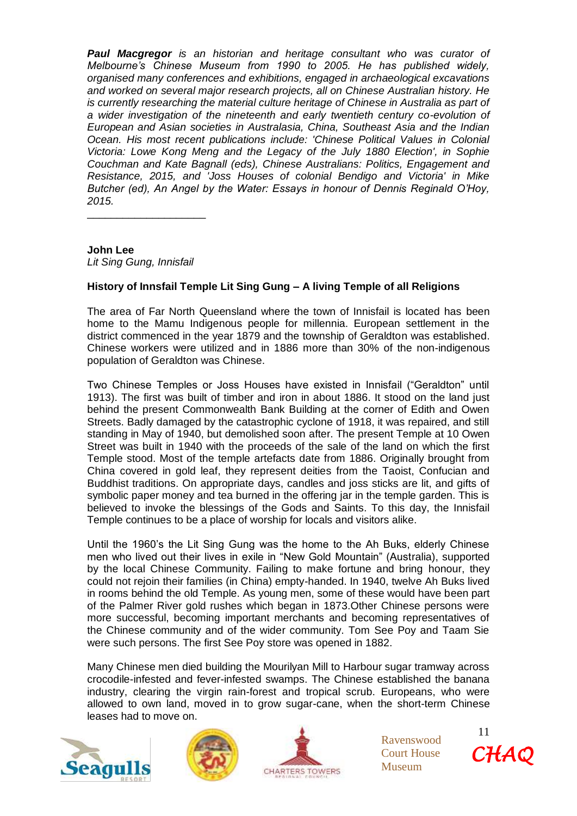*Paul Macgregor is an historian and heritage consultant who was curator of Melbourne's Chinese Museum from 1990 to 2005. He has published widely, organised many conferences and exhibitions, engaged in archaeological excavations and worked on several major research projects, all on Chinese Australian history. He is currently researching the material culture heritage of Chinese in Australia as part of a wider investigation of the nineteenth and early twentieth century co-evolution of European and Asian societies in Australasia, China, Southeast Asia and the Indian Ocean. His most recent publications include: 'Chinese Political Values in Colonial Victoria: Lowe Kong Meng and the Legacy of the July 1880 Election', in Sophie Couchman and Kate Bagnall (eds), Chinese Australians: Politics, Engagement and Resistance, 2015, and 'Joss Houses of colonial Bendigo and Victoria' in Mike Butcher (ed), An Angel by the Water: Essays in honour of Dennis Reginald O'Hoy, 2015.*

## **John Lee**

*Lit Sing Gung, Innisfail* 

\_\_\_\_\_\_\_\_\_\_\_\_\_\_\_\_\_\_\_\_

## **History of Innsfail Temple Lit Sing Gung – A living Temple of all Religions**

The area of Far North Queensland where the town of Innisfail is located has been home to the Mamu Indigenous people for millennia. European settlement in the district commenced in the year 1879 and the township of Geraldton was established. Chinese workers were utilized and in 1886 more than 30% of the non-indigenous population of Geraldton was Chinese.

Two Chinese Temples or Joss Houses have existed in Innisfail ("Geraldton" until 1913). The first was built of timber and iron in about 1886. It stood on the land just behind the present Commonwealth Bank Building at the corner of Edith and Owen Streets. Badly damaged by the catastrophic cyclone of 1918, it was repaired, and still standing in May of 1940, but demolished soon after. The present Temple at 10 Owen Street was built in 1940 with the proceeds of the sale of the land on which the first Temple stood. Most of the temple artefacts date from 1886. Originally brought from China covered in gold leaf, they represent deities from the Taoist, Confucian and Buddhist traditions. On appropriate days, candles and joss sticks are lit, and gifts of symbolic paper money and tea burned in the offering jar in the temple garden. This is believed to invoke the blessings of the Gods and Saints. To this day, the Innisfail Temple continues to be a place of worship for locals and visitors alike.

Until the 1960's the Lit Sing Gung was the home to the Ah Buks, elderly Chinese men who lived out their lives in exile in "New Gold Mountain" (Australia), supported by the local Chinese Community. Failing to make fortune and bring honour, they could not rejoin their families (in China) empty-handed. In 1940, twelve Ah Buks lived in rooms behind the old Temple. As young men, some of these would have been part of the Palmer River gold rushes which began in 1873.Other Chinese persons were more successful, becoming important merchants and becoming representatives of the Chinese community and of the wider community. Tom See Poy and Taam Sie were such persons. The first See Poy store was opened in 1882.

Many Chinese men died building the Mourilyan Mill to Harbour sugar tramway across crocodile-infested and fever-infested swamps. The Chinese established the banana industry, clearing the virgin rain-forest and tropical scrub. Europeans, who were allowed to own land, moved in to grow sugar-cane, when the short-term Chinese leases had to move on.







Ravenswood Court House Museum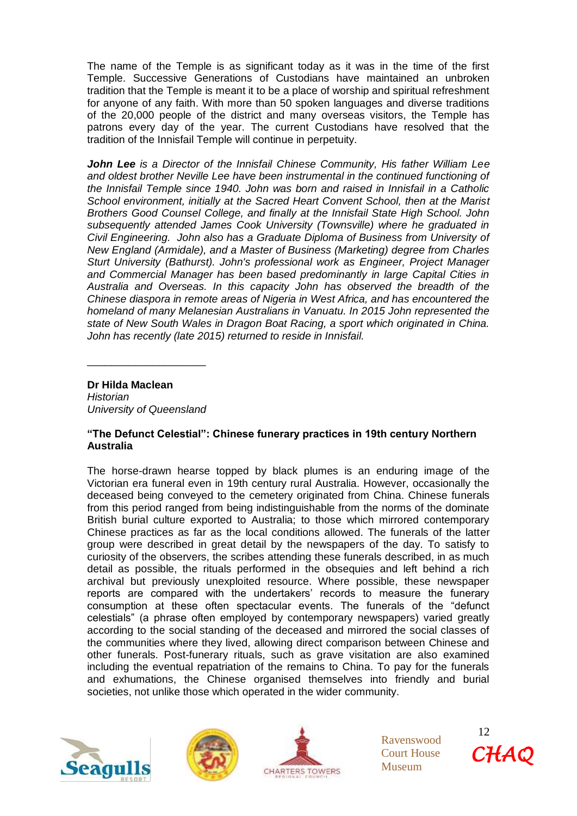The name of the Temple is as significant today as it was in the time of the first Temple. Successive Generations of Custodians have maintained an unbroken tradition that the Temple is meant it to be a place of worship and spiritual refreshment for anyone of any faith. With more than 50 spoken languages and diverse traditions of the 20,000 people of the district and many overseas visitors, the Temple has patrons every day of the year. The current Custodians have resolved that the tradition of the Innisfail Temple will continue in perpetuity.

*John Lee is a Director of the Innisfail Chinese Community, His father William Lee and oldest brother Neville Lee have been instrumental in the continued functioning of the Innisfail Temple since 1940. John was born and raised in Innisfail in a Catholic School environment, initially at the Sacred Heart Convent School, then at the Marist Brothers Good Counsel College, and finally at the Innisfail State High School. John subsequently attended James Cook University (Townsville) where he graduated in Civil Engineering. John also has a Graduate Diploma of Business from University of New England (Armidale), and a Master of Business (Marketing) degree from Charles Sturt University (Bathurst). John's professional work as Engineer, Project Manager and Commercial Manager has been based predominantly in large Capital Cities in Australia and Overseas. In this capacity John has observed the breadth of the Chinese diaspora in remote areas of Nigeria in West Africa, and has encountered the homeland of many Melanesian Australians in Vanuatu. In 2015 John represented the state of New South Wales in Dragon Boat Racing, a sport which originated in China. John has recently (late 2015) returned to reside in Innisfail.*

**Dr Hilda Maclean** 

*Historian University of Queensland*

\_\_\_\_\_\_\_\_\_\_\_\_\_\_\_\_\_\_\_\_

## **"The Defunct Celestial": Chinese funerary practices in 19th century Northern Australia**

The horse-drawn hearse topped by black plumes is an enduring image of the Victorian era funeral even in 19th century rural Australia. However, occasionally the deceased being conveyed to the cemetery originated from China. Chinese funerals from this period ranged from being indistinguishable from the norms of the dominate British burial culture exported to Australia; to those which mirrored contemporary Chinese practices as far as the local conditions allowed. The funerals of the latter group were described in great detail by the newspapers of the day. To satisfy to curiosity of the observers, the scribes attending these funerals described, in as much detail as possible, the rituals performed in the obsequies and left behind a rich archival but previously unexploited resource. Where possible, these newspaper reports are compared with the undertakers' records to measure the funerary consumption at these often spectacular events. The funerals of the "defunct celestials" (a phrase often employed by contemporary newspapers) varied greatly according to the social standing of the deceased and mirrored the social classes of the communities where they lived, allowing direct comparison between Chinese and other funerals. Post-funerary rituals, such as grave visitation are also examined including the eventual repatriation of the remains to China. To pay for the funerals and exhumations, the Chinese organised themselves into friendly and burial societies, not unlike those which operated in the wider community.







Ravenswood Court House Museum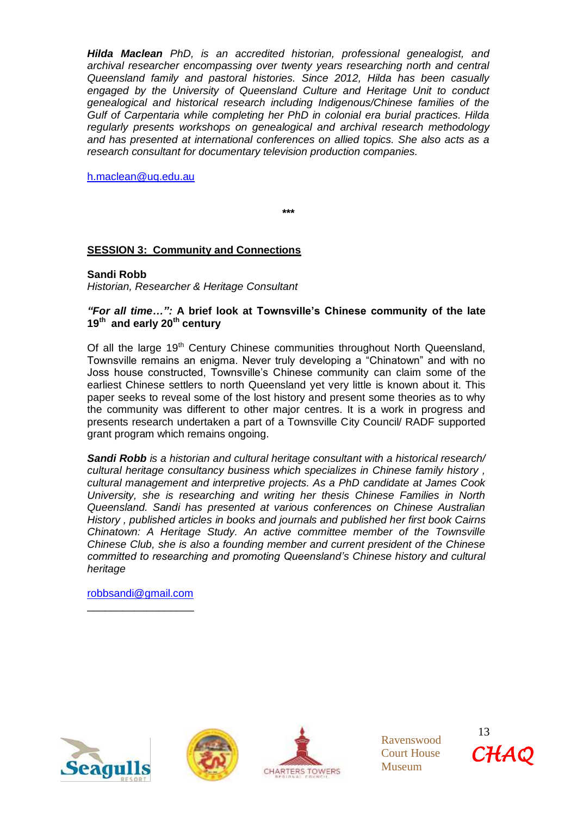*Hilda Maclean PhD, is an accredited historian, professional genealogist, and archival researcher encompassing over twenty years researching north and central Queensland family and pastoral histories. Since 2012, Hilda has been casually engaged by the University of Queensland Culture and Heritage Unit to conduct genealogical and historical research including Indigenous/Chinese families of the Gulf of Carpentaria while completing her PhD in colonial era burial practices. Hilda regularly presents workshops on genealogical and archival research methodology and has presented at international conferences on allied topics. She also acts as a research consultant for documentary television production companies.*

[h.maclean@uq.edu.au](mailto:h.maclean@uq.edu.au)

**\*\*\***

## **SESSION 3: Community and Connections**

#### **Sandi Robb**

*Historian, Researcher & Heritage Consultant*

#### *"For all time…":* **A brief look at Townsville's Chinese community of the late 19th and early 20th century**

Of all the large 19<sup>th</sup> Century Chinese communities throughout North Queensland, Townsville remains an enigma. Never truly developing a "Chinatown" and with no Joss house constructed, Townsville's Chinese community can claim some of the earliest Chinese settlers to north Queensland yet very little is known about it. This paper seeks to reveal some of the lost history and present some theories as to why the community was different to other major centres. It is a work in progress and presents research undertaken a part of a Townsville City Council/ RADF supported grant program which remains ongoing.

*Sandi Robb is a historian and cultural heritage consultant with a historical research/ cultural heritage consultancy business which specializes in Chinese family history , cultural management and interpretive projects. As a PhD candidate at James Cook University, she is researching and writing her thesis Chinese Families in North Queensland. Sandi has presented at various conferences on Chinese Australian History , published articles in books and journals and published her first book Cairns Chinatown: A Heritage Study. An active committee member of the Townsville Chinese Club, she is also a founding member and current president of the Chinese committed to researching and promoting Queensland's Chinese history and cultural heritage*

[robbsandi@gmail.com](mailto:robbsandi@gmail.com) \_\_\_\_\_\_\_\_\_\_\_\_\_\_\_\_\_\_







Ravenswood Court House Museum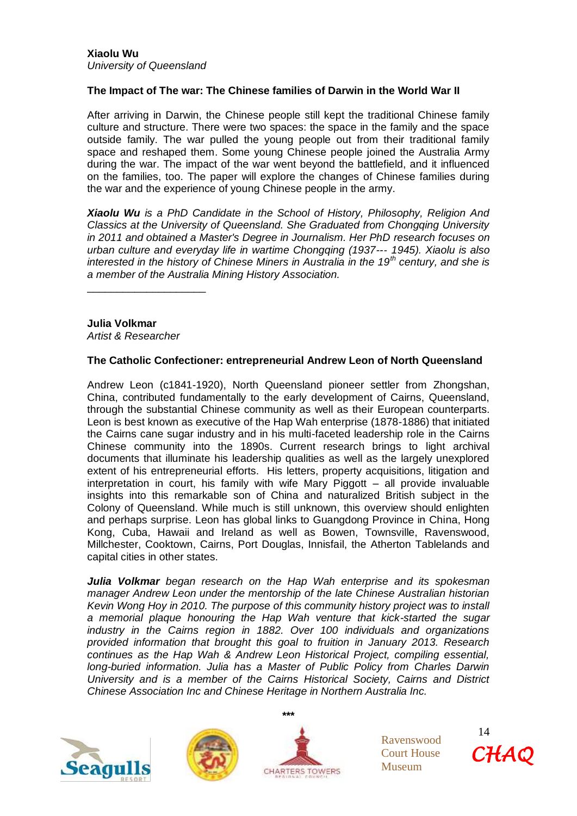#### **The Impact of The war: The Chinese families of Darwin in the World War II**

After arriving in Darwin, the Chinese people still kept the traditional Chinese family culture and structure. There were two spaces: the space in the family and the space outside family. The war pulled the young people out from their traditional family space and reshaped them. Some young Chinese people joined the Australia Army during the war. The impact of the war went beyond the battlefield, and it influenced on the families, too. The paper will explore the changes of Chinese families during the war and the experience of young Chinese people in the army.

*Xiaolu Wu is a PhD Candidate in the School of History, Philosophy, Religion And Classics at the University of Queensland. She Graduated from Chongqing University in 2011 and obtained a Master's Degree in Journalism. Her PhD research focuses on urban culture and everyday life in wartime Chongqing (1937--*‐ *1945). Xiaolu is also interested in the history of Chinese Miners in Australia in the 19th century, and she is a member of the Australia Mining History Association.*

**Julia Volkmar** *Artist & Researcher*

\_\_\_\_\_\_\_\_\_\_\_\_\_\_\_\_\_\_\_\_

#### **The Catholic Confectioner: entrepreneurial Andrew Leon of North Queensland**

Andrew Leon (c1841-1920), North Queensland pioneer settler from Zhongshan, China, contributed fundamentally to the early development of Cairns, Queensland, through the substantial Chinese community as well as their European counterparts. Leon is best known as executive of the Hap Wah enterprise (1878-1886) that initiated the Cairns cane sugar industry and in his multi-faceted leadership role in the Cairns Chinese community into the 1890s. Current research brings to light archival documents that illuminate his leadership qualities as well as the largely unexplored extent of his entrepreneurial efforts. His letters, property acquisitions, litigation and interpretation in court, his family with wife Mary Piggott – all provide invaluable insights into this remarkable son of China and naturalized British subject in the Colony of Queensland. While much is still unknown, this overview should enlighten and perhaps surprise. Leon has global links to Guangdong Province in China, Hong Kong, Cuba, Hawaii and Ireland as well as Bowen, Townsville, Ravenswood, Millchester, Cooktown, Cairns, Port Douglas, Innisfail, the Atherton Tablelands and capital cities in other states.

*Julia Volkmar began research on the Hap Wah enterprise and its spokesman manager Andrew Leon under the mentorship of the late Chinese Australian historian Kevin Wong Hoy in 2010. The purpose of this community history project was to install a memorial plaque honouring the Hap Wah venture that kick-started the sugar industry in the Cairns region in 1882. Over 100 individuals and organizations provided information that brought this goal to fruition in January 2013. Research continues as the Hap Wah & Andrew Leon Historical Project, compiling essential, long-buried information. Julia has a Master of Public Policy from Charles Darwin University and is a member of the Cairns Historical Society, Cairns and District Chinese Association Inc and Chinese Heritage in Northern Australia Inc.*







Ravenswood Court House Museum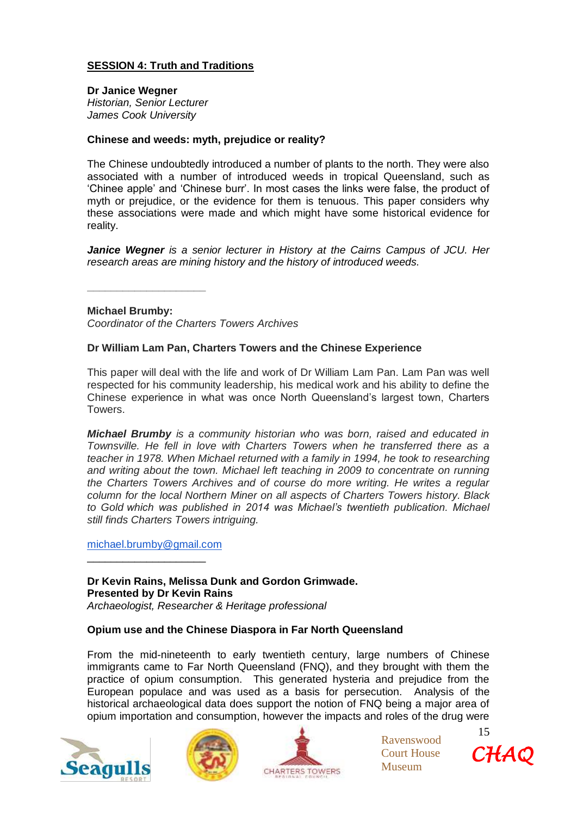## **SESSION 4: Truth and Traditions**

**Dr Janice Wegner** *Historian, Senior Lecturer James Cook University*

## **Chinese and weeds: myth, prejudice or reality?**

The Chinese undoubtedly introduced a number of plants to the north. They were also associated with a number of introduced weeds in tropical Queensland, such as 'Chinee apple' and 'Chinese burr'. In most cases the links were false, the product of myth or prejudice, or the evidence for them is tenuous. This paper considers why these associations were made and which might have some historical evidence for reality.

*Janice Wegner is a senior lecturer in History at the Cairns Campus of JCU. Her research areas are mining history and the history of introduced weeds.*

**Michael Brumby:**

**\_\_\_\_\_\_\_\_\_\_\_\_\_\_\_\_\_\_\_\_**

*Coordinator of the Charters Towers Archives*

#### **Dr William Lam Pan, Charters Towers and the Chinese Experience**

This paper will deal with the life and work of Dr William Lam Pan. Lam Pan was well respected for his community leadership, his medical work and his ability to define the Chinese experience in what was once North Queensland's largest town, Charters Towers.

*Michael Brumby is a community historian who was born, raised and educated in Townsville. He fell in love with Charters Towers when he transferred there as a teacher in 1978. When Michael returned with a family in 1994, he took to researching and writing about the town. Michael left teaching in 2009 to concentrate on running the Charters Towers Archives and of course do more writing. He writes a regular column for the local Northern Miner on all aspects of Charters Towers history. Black to Gold which was published in 2014 was Michael's twentieth publication. Michael still finds Charters Towers intriguing.*

[michael.brumby@gmail.com](mailto:michael.brumby@gmail.com)

\_\_\_\_\_\_\_\_\_\_\_\_\_\_\_\_\_\_\_\_

**Dr Kevin Rains, Melissa Dunk and Gordon Grimwade. Presented by Dr Kevin Rains** *Archaeologist, Researcher & Heritage professional*

#### **Opium use and the Chinese Diaspora in Far North Queensland**

From the mid-nineteenth to early twentieth century, large numbers of Chinese immigrants came to Far North Queensland (FNQ), and they brought with them the practice of opium consumption. This generated hysteria and prejudice from the European populace and was used as a basis for persecution. Analysis of the historical archaeological data does support the notion of FNQ being a major area of opium importation and consumption, however the impacts and roles of the drug were







Ravenswood Court House Museum

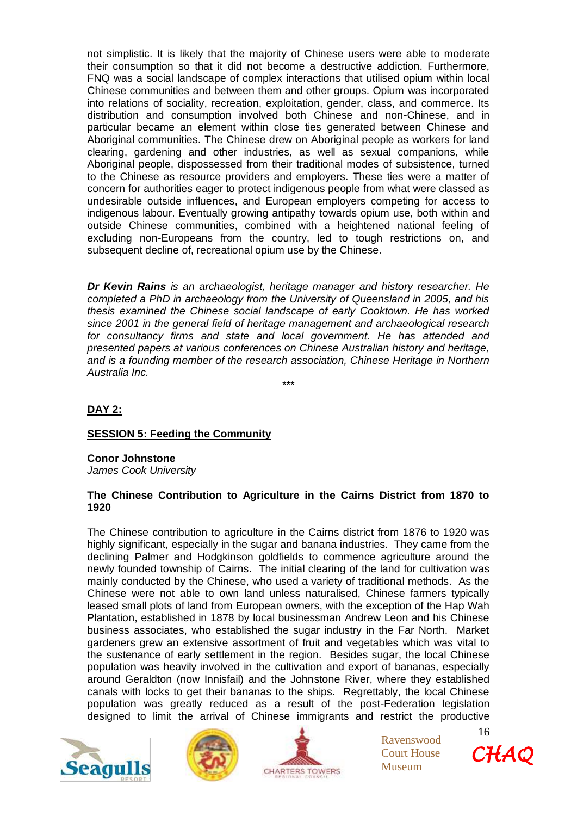not simplistic. It is likely that the majority of Chinese users were able to moderate their consumption so that it did not become a destructive addiction. Furthermore, FNQ was a social landscape of complex interactions that utilised opium within local Chinese communities and between them and other groups. Opium was incorporated into relations of sociality, recreation, exploitation, gender, class, and commerce. Its distribution and consumption involved both Chinese and non-Chinese, and in particular became an element within close ties generated between Chinese and Aboriginal communities. The Chinese drew on Aboriginal people as workers for land clearing, gardening and other industries, as well as sexual companions, while Aboriginal people, dispossessed from their traditional modes of subsistence, turned to the Chinese as resource providers and employers. These ties were a matter of concern for authorities eager to protect indigenous people from what were classed as undesirable outside influences, and European employers competing for access to indigenous labour. Eventually growing antipathy towards opium use, both within and outside Chinese communities, combined with a heightened national feeling of excluding non-Europeans from the country, led to tough restrictions on, and subsequent decline of, recreational opium use by the Chinese.

*Dr Kevin Rains is an archaeologist, heritage manager and history researcher. He completed a PhD in archaeology from the University of Queensland in 2005, and his thesis examined the Chinese social landscape of early Cooktown. He has worked since 2001 in the general field of heritage management and archaeological research for consultancy firms and state and local government. He has attended and presented papers at various conferences on Chinese Australian history and heritage, and is a founding member of the research association, Chinese Heritage in Northern Australia Inc.*

\*\*\*

## **DAY 2:**

## **SESSION 5: Feeding the Community**

**Conor Johnstone**  *James Cook University*

#### **The Chinese Contribution to Agriculture in the Cairns District from 1870 to 1920**

The Chinese contribution to agriculture in the Cairns district from 1876 to 1920 was highly significant, especially in the sugar and banana industries. They came from the declining Palmer and Hodgkinson goldfields to commence agriculture around the newly founded township of Cairns. The initial clearing of the land for cultivation was mainly conducted by the Chinese, who used a variety of traditional methods. As the Chinese were not able to own land unless naturalised, Chinese farmers typically leased small plots of land from European owners, with the exception of the Hap Wah Plantation, established in 1878 by local businessman Andrew Leon and his Chinese business associates, who established the sugar industry in the Far North. Market gardeners grew an extensive assortment of fruit and vegetables which was vital to the sustenance of early settlement in the region. Besides sugar, the local Chinese population was heavily involved in the cultivation and export of bananas, especially around Geraldton (now Innisfail) and the Johnstone River, where they established canals with locks to get their bananas to the ships. Regrettably, the local Chinese population was greatly reduced as a result of the post-Federation legislation designed to limit the arrival of Chinese immigrants and restrict the productive







Ravenswood Court House Museum

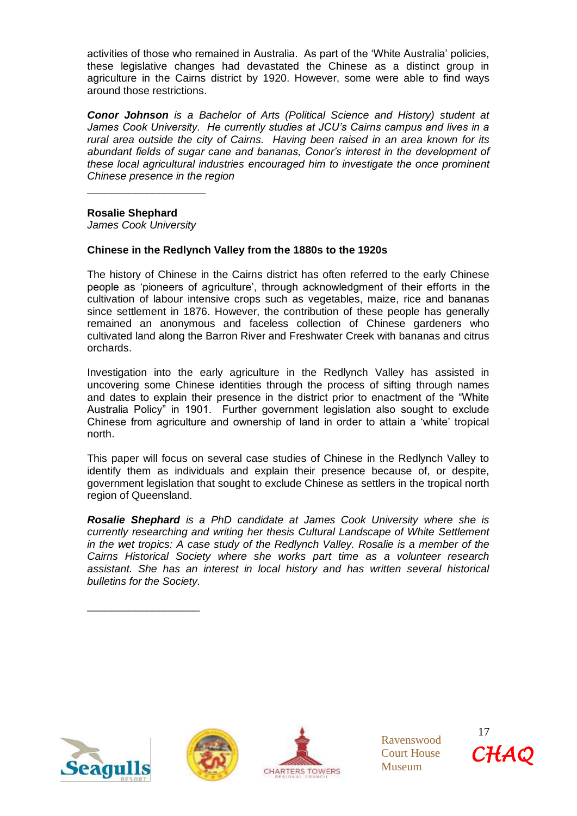activities of those who remained in Australia. As part of the 'White Australia' policies, these legislative changes had devastated the Chinese as a distinct group in agriculture in the Cairns district by 1920. However, some were able to find ways around those restrictions.

*Conor Johnson is a Bachelor of Arts (Political Science and History) student at James Cook University. He currently studies at JCU's Cairns campus and lives in a rural area outside the city of Cairns. Having been raised in an area known for its abundant fields of sugar cane and bananas, Conor's interest in the development of these local agricultural industries encouraged him to investigate the once prominent Chinese presence in the region*

**Rosalie Shephard** 

*James Cook University*

\_\_\_\_\_\_\_\_\_\_\_\_\_\_\_\_\_\_\_\_

## **Chinese in the Redlynch Valley from the 1880s to the 1920s**

The history of Chinese in the Cairns district has often referred to the early Chinese people as 'pioneers of agriculture', through acknowledgment of their efforts in the cultivation of labour intensive crops such as vegetables, maize, rice and bananas since settlement in 1876. However, the contribution of these people has generally remained an anonymous and faceless collection of Chinese gardeners who cultivated land along the Barron River and Freshwater Creek with bananas and citrus orchards.

Investigation into the early agriculture in the Redlynch Valley has assisted in uncovering some Chinese identities through the process of sifting through names and dates to explain their presence in the district prior to enactment of the "White Australia Policy" in 1901. Further government legislation also sought to exclude Chinese from agriculture and ownership of land in order to attain a 'white' tropical north.

This paper will focus on several case studies of Chinese in the Redlynch Valley to identify them as individuals and explain their presence because of, or despite, government legislation that sought to exclude Chinese as settlers in the tropical north region of Queensland.

*Rosalie Shephard is a PhD candidate at James Cook University where she is currently researching and writing her thesis Cultural Landscape of White Settlement in the wet tropics: A case study of the Redlynch Valley. Rosalie is a member of the Cairns Historical Society where she works part time as a volunteer research assistant. She has an interest in local history and has written several historical bulletins for the Society.*



\_\_\_\_\_\_\_\_\_\_\_\_\_\_\_\_\_\_\_





Ravenswood Court House Museum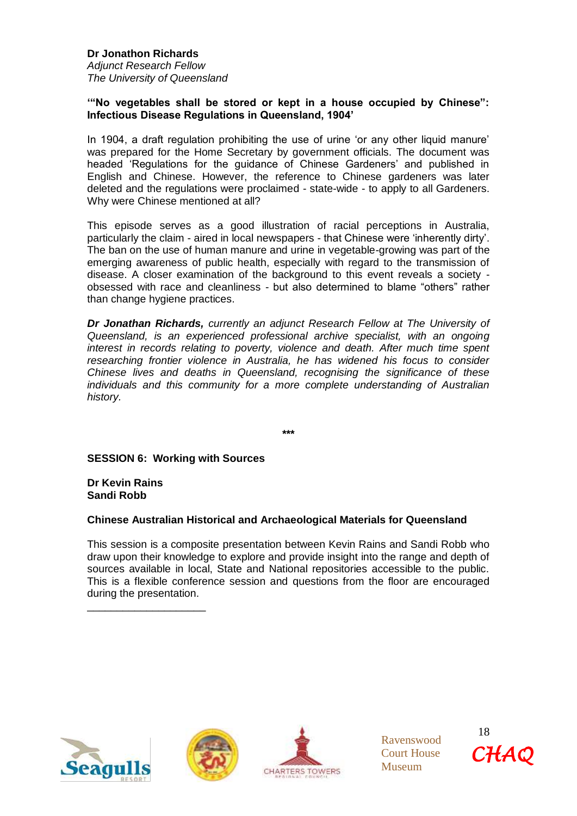**Dr Jonathon Richards** *Adjunct Research Fellow The University of Queensland*

#### **'"No vegetables shall be stored or kept in a house occupied by Chinese": Infectious Disease Regulations in Queensland, 1904'**

In 1904, a draft regulation prohibiting the use of urine 'or any other liquid manure' was prepared for the Home Secretary by government officials. The document was headed 'Regulations for the guidance of Chinese Gardeners' and published in English and Chinese. However, the reference to Chinese gardeners was later deleted and the regulations were proclaimed - state-wide - to apply to all Gardeners. Why were Chinese mentioned at all?

This episode serves as a good illustration of racial perceptions in Australia, particularly the claim - aired in local newspapers - that Chinese were 'inherently dirty'. The ban on the use of human manure and urine in vegetable-growing was part of the emerging awareness of public health, especially with regard to the transmission of disease. A closer examination of the background to this event reveals a society obsessed with race and cleanliness - but also determined to blame "others" rather than change hygiene practices.

*Dr Jonathan Richards, currently an adjunct Research Fellow at The University of Queensland, is an experienced professional archive specialist, with an ongoing interest in records relating to poverty, violence and death. After much time spent researching frontier violence in Australia, he has widened his focus to consider Chinese lives and deaths in Queensland, recognising the significance of these individuals and this community for a more complete understanding of Australian history.*

**\*\*\***

**SESSION 6: Working with Sources**

**Dr Kevin Rains Sandi Robb**

\_\_\_\_\_\_\_\_\_\_\_\_\_\_\_\_\_\_\_\_

#### **Chinese Australian Historical and Archaeological Materials for Queensland**

This session is a composite presentation between Kevin Rains and Sandi Robb who draw upon their knowledge to explore and provide insight into the range and depth of sources available in local, State and National repositories accessible to the public. This is a flexible conference session and questions from the floor are encouraged during the presentation.







Ravenswood Court House Museum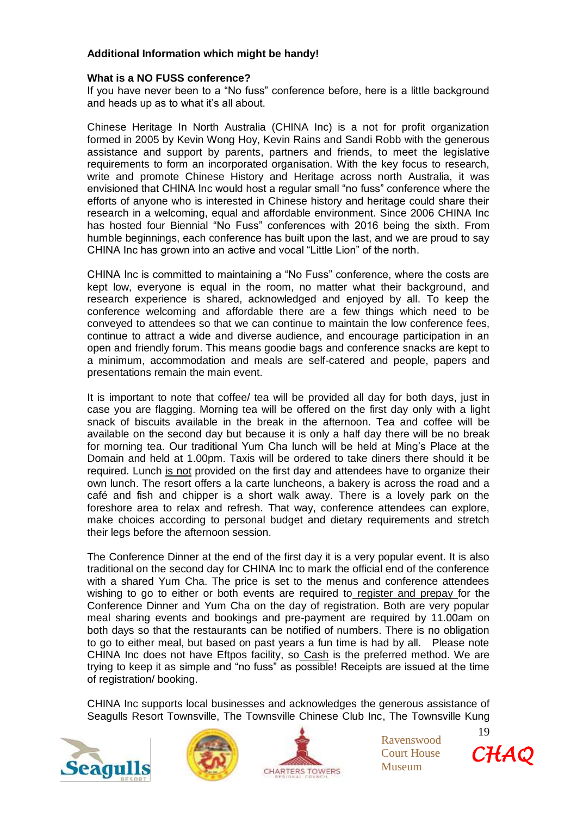## **Additional Information which might be handy!**

#### **What is a NO FUSS conference?**

If you have never been to a "No fuss" conference before, here is a little background and heads up as to what it's all about.

Chinese Heritage In North Australia (CHINA Inc) is a not for profit organization formed in 2005 by Kevin Wong Hoy, Kevin Rains and Sandi Robb with the generous assistance and support by parents, partners and friends, to meet the legislative requirements to form an incorporated organisation. With the key focus to research, write and promote Chinese History and Heritage across north Australia, it was envisioned that CHINA Inc would host a regular small "no fuss" conference where the efforts of anyone who is interested in Chinese history and heritage could share their research in a welcoming, equal and affordable environment. Since 2006 CHINA Inc has hosted four Biennial "No Fuss" conferences with 2016 being the sixth. From humble beginnings, each conference has built upon the last, and we are proud to say CHINA Inc has grown into an active and vocal "Little Lion" of the north.

CHINA Inc is committed to maintaining a "No Fuss" conference, where the costs are kept low, everyone is equal in the room, no matter what their background, and research experience is shared, acknowledged and enjoyed by all. To keep the conference welcoming and affordable there are a few things which need to be conveyed to attendees so that we can continue to maintain the low conference fees, continue to attract a wide and diverse audience, and encourage participation in an open and friendly forum. This means goodie bags and conference snacks are kept to a minimum, accommodation and meals are self-catered and people, papers and presentations remain the main event.

It is important to note that coffee/ tea will be provided all day for both days, just in case you are flagging. Morning tea will be offered on the first day only with a light snack of biscuits available in the break in the afternoon. Tea and coffee will be available on the second day but because it is only a half day there will be no break for morning tea. Our traditional Yum Cha lunch will be held at Ming's Place at the Domain and held at 1.00pm. Taxis will be ordered to take diners there should it be required. Lunch is not provided on the first day and attendees have to organize their own lunch. The resort offers a la carte luncheons, a bakery is across the road and a café and fish and chipper is a short walk away. There is a lovely park on the foreshore area to relax and refresh. That way, conference attendees can explore, make choices according to personal budget and dietary requirements and stretch their legs before the afternoon session.

The Conference Dinner at the end of the first day it is a very popular event. It is also traditional on the second day for CHINA Inc to mark the official end of the conference with a shared Yum Cha. The price is set to the menus and conference attendees wishing to go to either or both events are required to register and prepay for the Conference Dinner and Yum Cha on the day of registration. Both are very popular meal sharing events and bookings and pre-payment are required by 11.00am on both days so that the restaurants can be notified of numbers. There is no obligation to go to either meal, but based on past years a fun time is had by all. Please note CHINA Inc does not have Eftpos facility, so Cash is the preferred method. We are trying to keep it as simple and "no fuss" as possible! Receipts are issued at the time of registration/ booking.

CHINA Inc supports local businesses and acknowledges the generous assistance of Seagulls Resort Townsville, The Townsville Chinese Club Inc, The Townsville Kung







Ravenswood Court House Museum

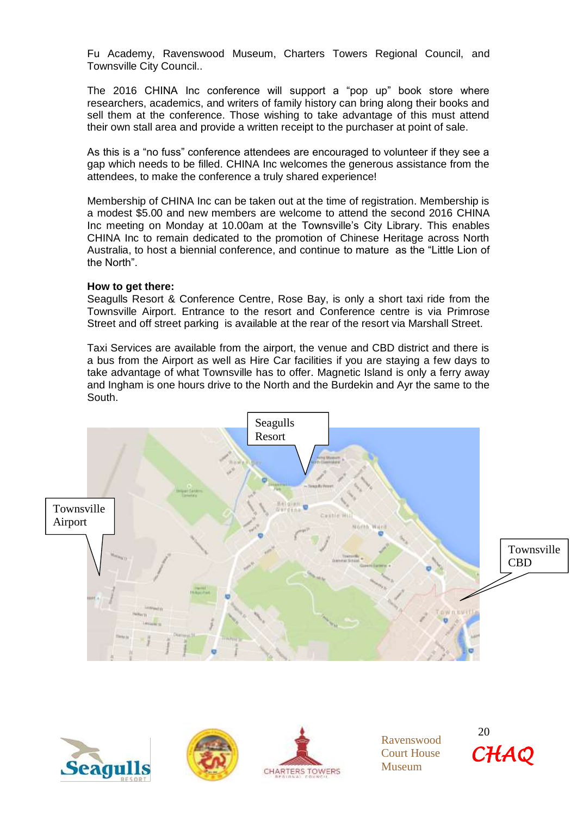Fu Academy, Ravenswood Museum, Charters Towers Regional Council, and Townsville City Council..

The 2016 CHINA Inc conference will support a "pop up" book store where researchers, academics, and writers of family history can bring along their books and sell them at the conference. Those wishing to take advantage of this must attend their own stall area and provide a written receipt to the purchaser at point of sale.

As this is a "no fuss" conference attendees are encouraged to volunteer if they see a gap which needs to be filled. CHINA Inc welcomes the generous assistance from the attendees, to make the conference a truly shared experience!

Membership of CHINA Inc can be taken out at the time of registration. Membership is a modest \$5.00 and new members are welcome to attend the second 2016 CHINA Inc meeting on Monday at 10.00am at the Townsville's City Library. This enables CHINA Inc to remain dedicated to the promotion of Chinese Heritage across North Australia, to host a biennial conference, and continue to mature as the "Little Lion of the North".

#### **How to get there:**

Seagulls Resort & Conference Centre, Rose Bay, is only a short taxi ride from the Townsville Airport. Entrance to the resort and Conference centre is via Primrose Street and off street parking is available at the rear of the resort via Marshall Street.

Taxi Services are available from the airport, the venue and CBD district and there is a bus from the Airport as well as Hire Car facilities if you are staying a few days to take advantage of what Townsville has to offer. Magnetic Island is only a ferry away and Ingham is one hours drive to the North and the Burdekin and Ayr the same to the South.









Ravenswood Court House Museum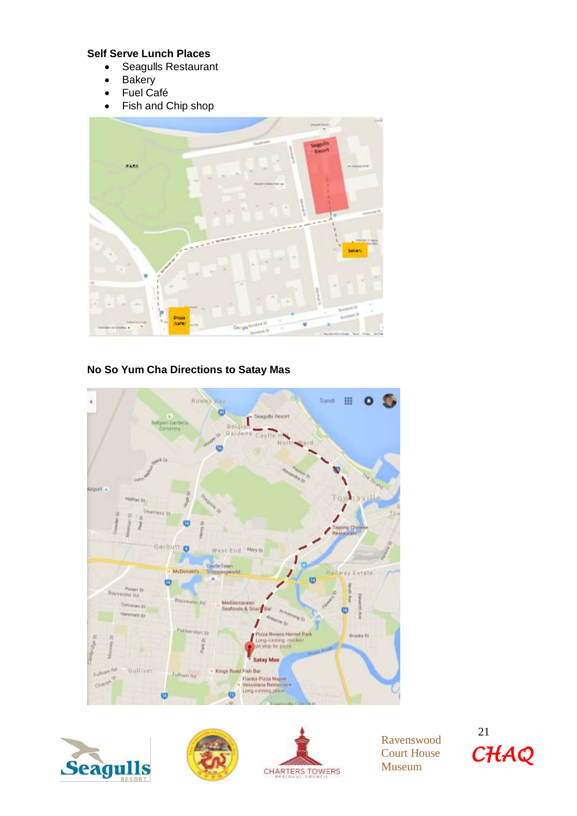## **Self Serve Lunch Places**

- Seagulls Restaurant
- Bakery
- Fuel Café
- Fish and Chip shop



**No So Yum Cha Directions to Satay Mas**









Ravenswood Court House Museum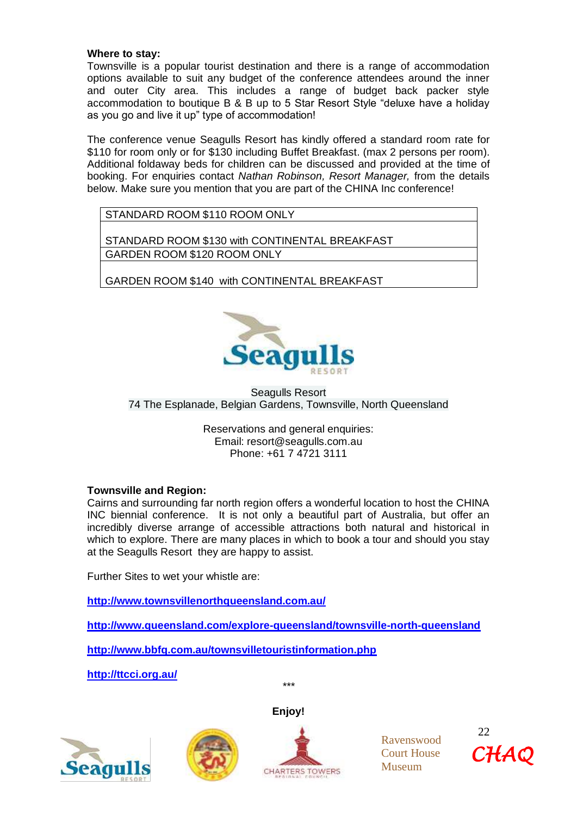#### **Where to stay:**

Townsville is a popular tourist destination and there is a range of accommodation options available to suit any budget of the conference attendees around the inner and outer City area. This includes a range of budget back packer style accommodation to boutique B & B up to 5 Star Resort Style "deluxe have a holiday as you go and live it up" type of accommodation!

The conference venue Seagulls Resort has kindly offered a standard room rate for \$110 for room only or for \$130 including Buffet Breakfast. (max 2 persons per room). Additional foldaway beds for children can be discussed and provided at the time of booking. For enquiries contact *Nathan Robinson, Resort Manager,* from the details below. Make sure you mention that you are part of the CHINA Inc conference!

STANDARD ROOM \$110 ROOM ONLY

STANDARD ROOM \$130 with CONTINENTAL BREAKFAST GARDEN ROOM \$120 ROOM ONLY

GARDEN ROOM \$140 with CONTINENTAL BREAKFAST



Seagulls Resort 74 The Esplanade, Belgian Gardens, Townsville, North Queensland

Reservations and general enquiries: Email: [resort@seagulls.com.au](mailto:resort@seagulls.com.au) Phone: +61 7 4721 3111

#### **Townsville and Region:**

Cairns and surrounding far north region offers a wonderful location to host the CHINA INC biennial conference. It is not only a beautiful part of Australia, but offer an incredibly diverse arrange of accessible attractions both natural and historical in which to explore. There are many places in which to book a tour and should you stay at the Seagulls Resort they are happy to assist.

Further Sites to wet your whistle are:

**<http://www.townsvillenorthqueensland.com.au/>**

**<http://www.queensland.com/explore-queensland/townsville-north-queensland>**

**<http://www.bbfq.com.au/townsvilletouristinformation.php>**

**<http://ttcci.org.au/>**







*\*\*\**



Ravenswood Court House Museum